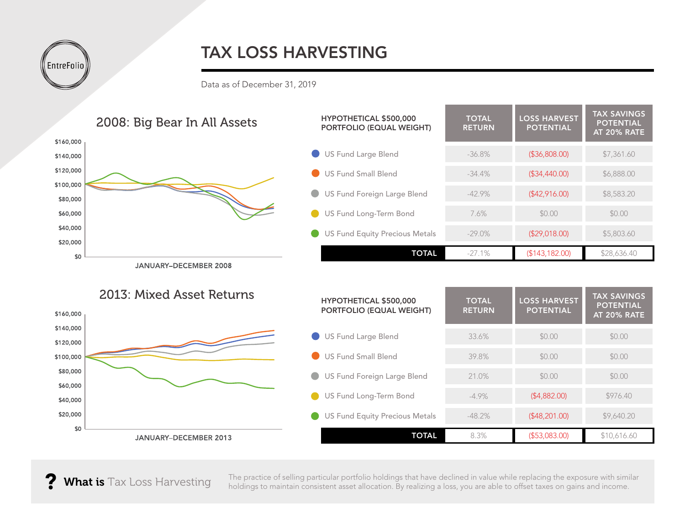## TAX LOSS HARVESTING

Data as of December 31, 2019



JANUARY-DECEMBER 2013

The practice of selling particular portfolio holdings that have declined in value while replacing the exposure with similar holdings to maintain consistent asset allocation. By realizing a loss, you are able to offset taxes on gains and income.

**TOTAL** 8.3% (\$53,083.00) \$10,616.60

? What is Tax Loss Harvesting

**EntreFolio**